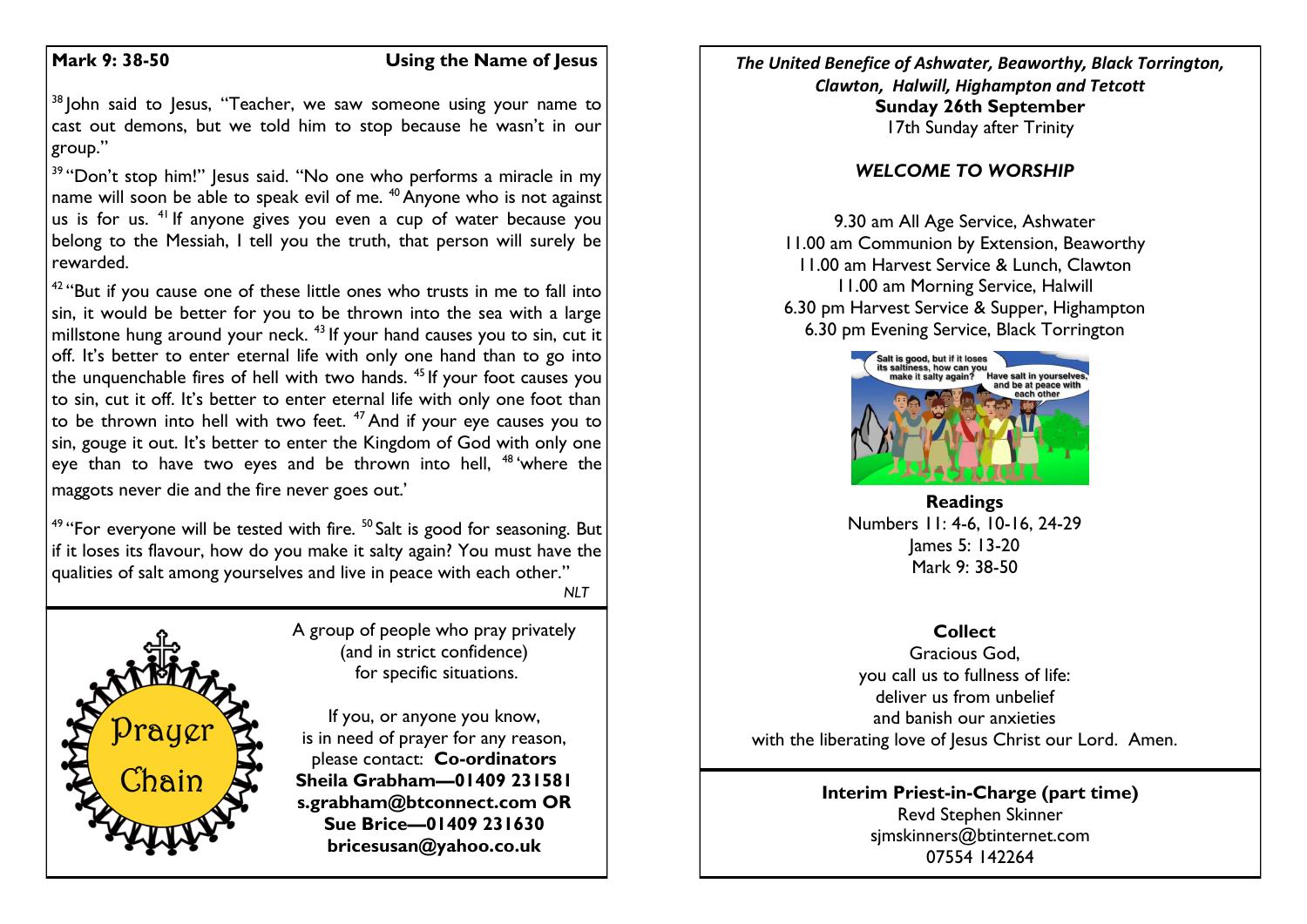### **Mark 9: 38-50 Using the Name of Jesus**

<sup>38</sup> John said to Jesus, "Teacher, we saw someone using your name to cast out demons, but we told him to stop because he wasn't in our group."

<sup>39</sup> "Don't stop him!" Jesus said. "No one who performs a miracle in my name will soon be able to speak evil of me.  $40$  Anyone who is not against us is for us. <sup>41</sup> If anyone gives you even a cup of water because you belong to the Messiah, I tell you the truth, that person will surely be rewarded.

 $42$  "But if you cause one of these little ones who trusts in me to fall into sin, it would be better for you to be thrown into the sea with a large millstone hung around your neck.  $43$  If your hand causes you to sin, cut it off. It's better to enter eternal life with only one hand than to go into the unquenchable fires of hell with two hands.  $45$  If your foot causes you to sin, cut it off. It's better to enter eternal life with only one foot than to be thrown into hell with two feet.  $47$  And if your eye causes you to sin, gouge it out. It's better to enter the Kingdom of God with only one eye than to have two eyes and be thrown into hell, <sup>48</sup> where the maggots never die and the fire never goes out.'

<sup>49</sup> "For everyone will be tested with fire.  $50$  Salt is good for seasoning. But if it loses its flavour, how do you make it salty again? You must have the qualities of salt among yourselves and live in peace with each other."

A group of people who pray privately (and in strict confidence) for specific situations.

*NLT*

If you, or anyone you know, is in need of prayer for any reason, please contact: **Co-ordinators Sheila Grabham—01409 231581 s.grabham@btconnect.com OR Sue Brice—01409 231630 bricesusan@yahoo.co.uk**

*The United Benefice of Ashwater, Beaworthy, Black Torrington, Clawton, Halwill, Highampton and Tetcott* **Sunday 26th September** 17th Sunday after Trinity

#### *WELCOME TO WORSHIP*

9.30 am All Age Service, Ashwater 11.00 am Communion by Extension, Beaworthy 11.00 am Harvest Service & Lunch, Clawton 11.00 am Morning Service, Halwill 6.30 pm Harvest Service & Supper, Highampton 6.30 pm Evening Service, Black Torrington



**Readings** Numbers 11: 4-6, 10-16, 24-29 James 5: 13-20 Mark 9: 38-50

## **Collect**

Gracious God, you call us to fullness of life: deliver us from unbelief and banish our anxieties with the liberating love of Jesus Christ our Lord. Amen.

#### **Interim Priest-in-Charge (part time)** Revd Stephen Skinner [sjmskinners@btinternet.com](mailto:sjmskinners@btinternet.com) 07554 142264